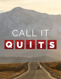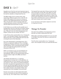### Quit Sin

### **DAY 1-** *Sin??*

Arguably one of the first and most important steps in salvation is the realization of one's own sinfulness and his need for salvation, or being freed from sin.

The Bible speaks of sin in various tones, each expressing a different aspect of sin. In the OT, the writers often spoke of sin in terms of a breach or rupture in the relationship between man and God. This is why the OT is full of covenants with each working ultimately towards a final "New Covenant" with the death and resurrection of Jesus.

In the Psalms you can often see the parallel use of transgressions and sin to describe our broken relation with God. One of the best examples is when David says, "Blessed is the one whose transgressions are forgiven, whose sins are covered." (Ps 32:1).

In the NT the writers mostly define sin as "missing the mark". In the Synoptic Gospels, Jesus portrayed the ideal human life as a life of fellowship with God with sin being the lack of this fellowship.

Sin is also represented in contrasting terms. Sin is darkness as opposed to light (Jn 9:41), or bondage as opposed to freedom (Jn 8:34). In his conversation with Nicodemus, Jesus contrasted the flesh and the spirit and taught that spiritual birth from God is necessary to all (Jn 3:3).

While I am hesitant to give any hard definition for sin, as one can begin to think in terms of the law and loopholes, there are some general ideas that we should consider in light of the Bible and what it teaches.

John Wesley described sin as, "a voluntary transgression of a known law". In this definition, we understand that sin is first voluntary. We sin because we choose to. Jesus, when he was being tempted by the Devil, was given the opportunity to sin, to choose his own way and rebel against God. But he chose not to by humbling himself and obeying God. Contrast this to Adam and Eve in the Garden of Eden who voluntarily ate of the forbidden fruit and sinned.

Second, we sin when we rebel against that which we know. And herein we have our first loophole as some may say, "So if I didn't know I never sinned.".

The Apostle Paul wrote that "all have sinned and fall short of the glory of God" (Ro 3:23). When you take an honest look at yourself, you find that we all have rebelled, whether against God, parents, or others. We all have done things that we know we should not have done. We've all sinned and as such our relationship with God is broken and in need of repair.

In our next lesson we'll explore original sin and why it's important to know.

### Things To Ponder

How does the parallelism of transgressions and sin describe our broken relationship with God?

What other contrasting examples for sin can you find in the Bible? How does this help you understand the nature of sin?

The NT writers mostly define sin as "missing the mark". Give examples of how you would describe this?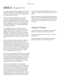### Quit Sin

### **DAY 2-** *Original Sin*

In our previous discussion we explored sin in terms of a breach or rupture in the relationship between man and God or "missing the mark". But the big question is - where did sin come from?

Let's first address the question from a creation perspective - God did not create sin as part of creation. The Bible says that as God created he "saw that it was good" (Ge 1:10, 25, 31). The word "good" means completeness, perfection and indicates that there was nothing bad. So, somewhere afterwards, something went wrong.

As we explore original sin in mankind we must understand that sin first occurred in heaven with an angelic rebellion against God (Jude 1:6, 2 Pe 2:4). Although we're not given much detail, we do know that there was a leader, Satan, and that one-third of the angels rebelled with him (Rev 12:3-4). This helps us understand who the serpent is and where he came from.

Next, we find Adam and Eve living in the Garden of Eden. Created in the "image of God" (Ge 1:27), everything is perfect as they live in harmony in their relationship with God. In the garden, they are "free to eat from any tree in the garden" (Ge 2:16), "but you must not eat from the tree of the knowledge of good and evil, for when you eat from it you will certainly die." (v 17). And herein is the first clue to original sin - the ability to choose - free will.

We're not sure how much time has passed since Adam and Eve were placed in the garden, but we know that the serpent, Satan in disguise, began to talk with Eve with lies and deception. Ultimately Adam and Eve ate the forbidden fruit. Sin had entered into their lives and with it their perfect relationship with God was broken and they were cast out of Eden.

So how does Adam and Eve's first sin become "original sin"? John Wesley wrote that "Original sin is the corruption of the nature of every man, whereby man is in his own nature inclined to evil, so that the flesh lusteth contrary to the Spirit". Although Adam and Eve had been made in the image of God, that image had now been corrupted by their sin and that corrupted image, nature, would be passed on in their children. Sadly, we see this corruption in their son

Cain when he kills his brother Abel (Ge 4). And we continue to see that corruption played out in mankind today.

Sadly sin separates us from God. But thankfully, God wants to restore our relationship with him through the atonement found in Jesus. And best of all it's free. All you have to do is simply believe and accept Jesus as your savior.

### Things To Ponder

Have you ever given much thought to Satan and his sin? Why would this be important to consider?

How does the ability to choose - free will - help you understand sin?

Why would mankind being created in the image of God be only broken, but not destroyed by sin?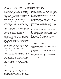#### Quit Sin

## **DAY 3-** *The Root & Characteristics of Sin*

We've explored sin in terms of a breach or rupture in the relationship between man and God or "missing the mark" and the origin of original sin. Next, we'll explore the root and characteristics of sin. But first, I understand that the topic of sin is very complex and open to interpretations, so please bear with me as I need to be brief and only touch on this subject.

When dealing with any sickness, you must first identify its root. If you don't, you will only treat its symptoms and never find a cure. The same is true of sin. Peter and Paul list many symptoms of sins such as greed, sexual impurity, drunkeness, idolatry, boastful, adultery, sexual immorality, impurity and debauchery; idolatry and witchcraft; hatred, discord, jealousy, fits of rage, selfish ambition, dissensions, factions, and envy; drunkenness, orgies, and the like (Gal 5:19-21, 2 Pe 2:13-16). So what is the root of sin?

When one begins to look deeper, you notice that the root of sin revolves around the desire to elevate or establish oneself above everything and anyone else. Satan, Adam and Eve and others in the Bible wanted to be like God. This results then in rebellion against God and his authority.

Although we believe that all sins are equal, in his book Mere Christianity, CS Lewis described pride as the greatest sin and the root of all sorts of evil.

Pride is essentially competitive—is competitive by its very nature—while the other vices are competitive only, so to speak, by accident. Pride gets no pleasure out of having something, only out of having more of it than the next man. We say that people are proud of being rich, or clever, or good-looking, but they are not. They are proud of being richer, or cleverer, or better-looking than others. If everyone else became equally rich, or clever, or good-looking there would be nothing to be proud about. It is the comparison that makes you proud: the pleasure of being above the rest.

Sin says "Yes! It's all about me!".

Finally, there are three characteristics of sin one should understand. First, a peculiarity of sin is its power to deceive (Rom 7:11). No one could be tempted by sin unless there was seen in the enticing thing something that seemed to be of value. Sin has its "fleeting pleasures" (Heb 11:25). Also, sin seems to give certain advantages, as were promised in the garden. But in the end it's all deceit, it's all lies. Sin never delivers on its promises.

Second, although sin promises freedom it only enslaves the person into an endless spiral from one deceit to another. Every act of sin becomes a newly braided cord in the tyrant's lash, by which sin lords it over the conscience and enslaves the will. The sinner becomes increasingly free to sin, but not free not to sin until ultimately the sinner is destroyed.

Last, sin never permits the maintenance of a stable plane of character, but is always cumulative in its hardening and depraving effects. Paul expresses it as "resulting in further lawlessness" (Rom. 6:19). Sin is progressive, leading the sinner deeper and deeper into a pattern of self-sovereignty and self-idolatry, with its pride, autonomy, and bent to lawlessness.

### Things To Ponder

Would you agree or disagree with my statement that self is the root of sin? Why or why not?

What do you think of CS Lewis' thoughts of pride being the greatest sin?

I describe three characteristics of sin as deceitful, enslaving and progressive. Are there any other characteristics of sin you would add or expand on?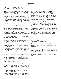### **DAY 4-** *If You Sin...*

Until now, we've explored what sin is, where it came from and its characteristics. In this last lesson, we'll explore the question, "What if a believer sins?".

Although we would like to think that confession and repentance of one's sin is a "one and done" act, and to an extent it is for past sins, what if a person sins after accepting Jesus as savior? Do they, can they, lose their salvation? This is an honest question that deserves exploring.

Let me start with a very bold statement - as believers in Jesus, Christians do not have to sin. This is not to say that Christians cannot sin, but that through the power of Jesus and the indwelling of the Holy Spirit, Christians are no longer slaves to sin, but slave to righteousness (Ro 6:6, 18, 22). Paul talked extensively of putting off the old man and putting on the new man, we are a new creation in Christ (2 Cor 5:17). To say that believers have to sin is to deny the transforming power of God.

But we are still human, still able to choose to obey or rebel. To say yes to God, or no. That is why the Apostle John wrote;

My dear children, I write this to you so that you will not sin. But if anybody does sin, we have an advocate with the Father—Jesus Christ, the Righteous One. He is the atoning sacrifice for our sins, and not only for ours but also for the sins of the whole world. (1 Jn 2:1-2)

So, while Christians do not have to sin, there are times when we do. Maybe pride rears its ugly face, or our thoughts or attitudes are not "God honoring". Maybe we lose our temper with someone and speak words that are hurtful. Regardless of what the result is, we "missed the mark" and sinned.

Thankfully, we serve a God of second, third and fourth chances. He loves us despite our frailties. If we do sin, God doesn't abandon us when we fail, but extends to us grace through Jesus, our advocate.

But God's love and grace should not be taken lightly. Is God forgiving? Yes! But be warned. Just as Nineveh at first accepted the message of Jonah and repented (Jonah 3:10), they later returned to their wicked ways

and were destroyed (Nahum 3). Paul warned the Galatians, "Do not be deceived: God cannot be mocked. A man reaps what he sows." (Ga 6:7). Although speaking of money, Jesus warned against trying to serve two masters, "Either you will hate the one and love the other, or you will be devoted to the one and despise the other" (Mt 6:24, Lk 16:13).

James warned believers that "each person is tempted when they are dragged away by their own evil desire and enticed." (Ja 1:14). A believer may be saved, but they must still endure temptations. We're still vulnerable and can sin. But take courage. Jesus said, "In this world you will have trouble (and temptations). But take heart! I have overcome the world." (Jn 16:33). Through the power of Jesus, Christians need not sin but can "offer your bodies as a living sacrifice, holy and pleasing to God—this is your true and proper worship" (Ro 12:1).

#### Things To Ponder

Have you ever been tempted to sin thinking you can just ask for forgiveness later? Why is this dangerous thinking?

Would you generally agree or disagree that Christians do not have to sin? How does this affect your view of sin and its consequences?

How can Christians live lives free from the bondage of sin?